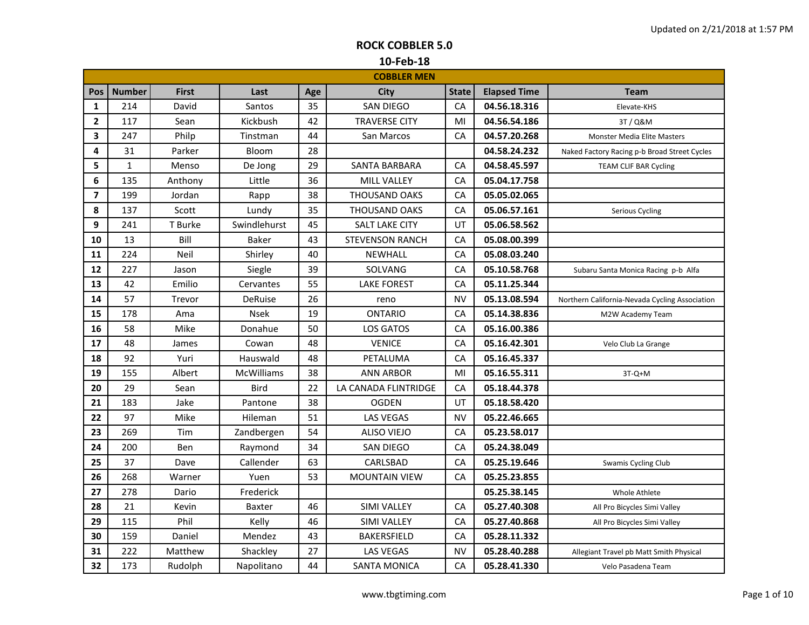|                         |               |              |                   |     | <b>COBBLER MEN</b>     |              |                     |                                                |
|-------------------------|---------------|--------------|-------------------|-----|------------------------|--------------|---------------------|------------------------------------------------|
| <b>Pos</b>              | <b>Number</b> | <b>First</b> | Last              | Age | <b>City</b>            | <b>State</b> | <b>Elapsed Time</b> | <b>Team</b>                                    |
| 1                       | 214           | David        | Santos            | 35  | SAN DIEGO              | CA           | 04.56.18.316        | Elevate-KHS                                    |
| 2                       | 117           | Sean         | Kickbush          | 42  | <b>TRAVERSE CITY</b>   | MI           | 04.56.54.186        | 3T / Q&M                                       |
| 3                       | 247           | Philp        | Tinstman          | 44  | San Marcos             | CA           | 04.57.20.268        | <b>Monster Media Elite Masters</b>             |
| 4                       | 31            | Parker       | Bloom             | 28  |                        |              | 04.58.24.232        | Naked Factory Racing p-b Broad Street Cycles   |
| 5                       | $\mathbf{1}$  | Menso        | De Jong           | 29  | <b>SANTA BARBARA</b>   | CA           | 04.58.45.597        | TEAM CLIF BAR Cycling                          |
| 6                       | 135           | Anthony      | Little            | 36  | MILL VALLEY            | CA           | 05.04.17.758        |                                                |
| $\overline{\mathbf{z}}$ | 199           | Jordan       | Rapp              | 38  | <b>THOUSAND OAKS</b>   | CA           | 05.05.02.065        |                                                |
| 8                       | 137           | Scott        | Lundy             | 35  | <b>THOUSAND OAKS</b>   | CA           | 05.06.57.161        | Serious Cycling                                |
| 9                       | 241           | T Burke      | Swindlehurst      | 45  | <b>SALT LAKE CITY</b>  | UT           | 05.06.58.562        |                                                |
| 10                      | 13            | Bill         | <b>Baker</b>      | 43  | <b>STEVENSON RANCH</b> | CA           | 05.08.00.399        |                                                |
| 11                      | 224           | Neil         | Shirley           | 40  | <b>NEWHALL</b>         | CA           | 05.08.03.240        |                                                |
| 12                      | 227           | Jason        | Siegle            | 39  | SOLVANG                | CA           | 05.10.58.768        | Subaru Santa Monica Racing p-b Alfa            |
| 13                      | 42            | Emilio       | Cervantes         | 55  | <b>LAKE FOREST</b>     | CA           | 05.11.25.344        |                                                |
| 14                      | 57            | Trevor       | <b>DeRuise</b>    | 26  | reno                   | <b>NV</b>    | 05.13.08.594        | Northern California-Nevada Cycling Association |
| 15                      | 178           | Ama          | <b>Nsek</b>       | 19  | <b>ONTARIO</b>         | CA           | 05.14.38.836        | M2W Academy Team                               |
| 16                      | 58            | Mike         | Donahue           | 50  | LOS GATOS              | CA           | 05.16.00.386        |                                                |
| 17                      | 48            | James        | Cowan             | 48  | <b>VENICE</b>          | CA           | 05.16.42.301        | Velo Club La Grange                            |
| 18                      | 92            | Yuri         | Hauswald          | 48  | PETALUMA               | CA           | 05.16.45.337        |                                                |
| 19                      | 155           | Albert       | <b>McWilliams</b> | 38  | <b>ANN ARBOR</b>       | MI           | 05.16.55.311        | 3T-Q+M                                         |
| 20                      | 29            | Sean         | Bird              | 22  | LA CANADA FLINTRIDGE   | CA           | 05.18.44.378        |                                                |
| 21                      | 183           | Jake         | Pantone           | 38  | <b>OGDEN</b>           | UT           | 05.18.58.420        |                                                |
| 22                      | 97            | Mike         | Hileman           | 51  | <b>LAS VEGAS</b>       | <b>NV</b>    | 05.22.46.665        |                                                |
| 23                      | 269           | Tim          | Zandbergen        | 54  | <b>ALISO VIEJO</b>     | CA           | 05.23.58.017        |                                                |
| 24                      | 200           | Ben          | Raymond           | 34  | SAN DIEGO              | CA           | 05.24.38.049        |                                                |
| 25                      | 37            | Dave         | Callender         | 63  | CARLSBAD               | CA           | 05.25.19.646        | Swamis Cycling Club                            |
| 26                      | 268           | Warner       | Yuen              | 53  | <b>MOUNTAIN VIEW</b>   | CA           | 05.25.23.855        |                                                |
| 27                      | 278           | Dario        | Frederick         |     |                        |              | 05.25.38.145        | Whole Athlete                                  |
| 28                      | 21            | Kevin        | Baxter            | 46  | <b>SIMI VALLEY</b>     | CA           | 05.27.40.308        | All Pro Bicycles Simi Valley                   |
| 29                      | 115           | Phil         | Kelly             | 46  | <b>SIMI VALLEY</b>     | CA           | 05.27.40.868        | All Pro Bicycles Simi Valley                   |
| 30                      | 159           | Daniel       | Mendez            | 43  | BAKERSFIELD            | CA           | 05.28.11.332        |                                                |
| 31                      | 222           | Matthew      | Shackley          | 27  | <b>LAS VEGAS</b>       | <b>NV</b>    | 05.28.40.288        | Allegiant Travel pb Matt Smith Physical        |

173 Rudolph Napolitano 44 SANTA MONICA CA **05.28.41.330** Velo Pasadena Team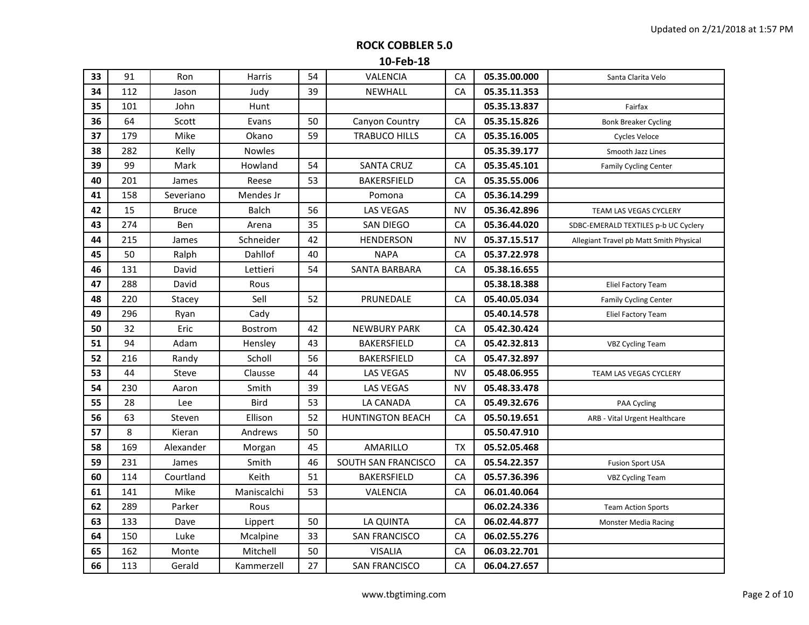| 33 | 91  | Ron          | Harris        | 54 | VALENCIA                | CA        | 05.35.00.000 | Santa Clarita Velo                      |
|----|-----|--------------|---------------|----|-------------------------|-----------|--------------|-----------------------------------------|
| 34 | 112 | Jason        | Judy          | 39 | <b>NEWHALL</b>          | CA        | 05.35.11.353 |                                         |
| 35 | 101 | John         | Hunt          |    |                         |           | 05.35.13.837 | Fairfax                                 |
| 36 | 64  | Scott        | Evans         | 50 | Canyon Country          | CA        | 05.35.15.826 | <b>Bonk Breaker Cycling</b>             |
| 37 | 179 | Mike         | Okano         | 59 | <b>TRABUCO HILLS</b>    | CA        | 05.35.16.005 | Cycles Veloce                           |
| 38 | 282 | Kelly        | <b>Nowles</b> |    |                         |           | 05.35.39.177 | Smooth Jazz Lines                       |
| 39 | 99  | Mark         | Howland       | 54 | <b>SANTA CRUZ</b>       | CA        | 05.35.45.101 | <b>Family Cycling Center</b>            |
| 40 | 201 | James        | Reese         | 53 | <b>BAKERSFIELD</b>      | CA        | 05.35.55.006 |                                         |
| 41 | 158 | Severiano    | Mendes Jr     |    | Pomona                  | CA        | 05.36.14.299 |                                         |
| 42 | 15  | <b>Bruce</b> | Balch         | 56 | <b>LAS VEGAS</b>        | <b>NV</b> | 05.36.42.896 | TEAM LAS VEGAS CYCLERY                  |
| 43 | 274 | Ben          | Arena         | 35 | SAN DIEGO               | CA        | 05.36.44.020 | SDBC-EMERALD TEXTILES p-b UC Cyclery    |
| 44 | 215 | James        | Schneider     | 42 | <b>HENDERSON</b>        | <b>NV</b> | 05.37.15.517 | Allegiant Travel pb Matt Smith Physical |
| 45 | 50  | Ralph        | Dahllof       | 40 | <b>NAPA</b>             | CA        | 05.37.22.978 |                                         |
| 46 | 131 | David        | Lettieri      | 54 | <b>SANTA BARBARA</b>    | CA        | 05.38.16.655 |                                         |
| 47 | 288 | David        | Rous          |    |                         |           | 05.38.18.388 | <b>Eliel Factory Team</b>               |
| 48 | 220 | Stacey       | Sell          | 52 | PRUNEDALE               | CA        | 05.40.05.034 | <b>Family Cycling Center</b>            |
| 49 | 296 | Ryan         | Cady          |    |                         |           | 05.40.14.578 | Eliel Factory Team                      |
| 50 | 32  | Eric         | Bostrom       | 42 | <b>NEWBURY PARK</b>     | CA        | 05.42.30.424 |                                         |
| 51 | 94  | Adam         | Hensley       | 43 | BAKERSFIELD             | CA        | 05.42.32.813 | <b>VBZ Cycling Team</b>                 |
| 52 | 216 | Randy        | Scholl        | 56 | BAKERSFIELD             | CA        | 05.47.32.897 |                                         |
| 53 | 44  | Steve        | Clausse       | 44 | <b>LAS VEGAS</b>        | <b>NV</b> | 05.48.06.955 | TEAM LAS VEGAS CYCLERY                  |
| 54 | 230 | Aaron        | Smith         | 39 | <b>LAS VEGAS</b>        | NV        | 05.48.33.478 |                                         |
| 55 | 28  | Lee          | <b>Bird</b>   | 53 | LA CANADA               | CA        | 05.49.32.676 | PAA Cycling                             |
| 56 | 63  | Steven       | Ellison       | 52 | <b>HUNTINGTON BEACH</b> | CA        | 05.50.19.651 | ARB - Vital Urgent Healthcare           |
| 57 | 8   | Kieran       | Andrews       | 50 |                         |           | 05.50.47.910 |                                         |
| 58 | 169 | Alexander    | Morgan        | 45 | AMARILLO                | <b>TX</b> | 05.52.05.468 |                                         |
| 59 | 231 | James        | Smith         | 46 | SOUTH SAN FRANCISCO     | СA        | 05.54.22.357 | <b>Fusion Sport USA</b>                 |
| 60 | 114 | Courtland    | Keith         | 51 | BAKERSFIELD             | CA        | 05.57.36.396 | <b>VBZ Cycling Team</b>                 |
| 61 | 141 | Mike         | Maniscalchi   | 53 | VALENCIA                | CA        | 06.01.40.064 |                                         |
| 62 | 289 | Parker       | Rous          |    |                         |           | 06.02.24.336 | <b>Team Action Sports</b>               |
| 63 | 133 | Dave         | Lippert       | 50 | LA QUINTA               | CA        | 06.02.44.877 | <b>Monster Media Racing</b>             |
| 64 | 150 | Luke         | Mcalpine      | 33 | <b>SAN FRANCISCO</b>    | CA        | 06.02.55.276 |                                         |
| 65 | 162 | Monte        | Mitchell      | 50 | <b>VISALIA</b>          | CA        | 06.03.22.701 |                                         |
| 66 | 113 | Gerald       | Kammerzell    | 27 | <b>SAN FRANCISCO</b>    | CA        | 06.04.27.657 |                                         |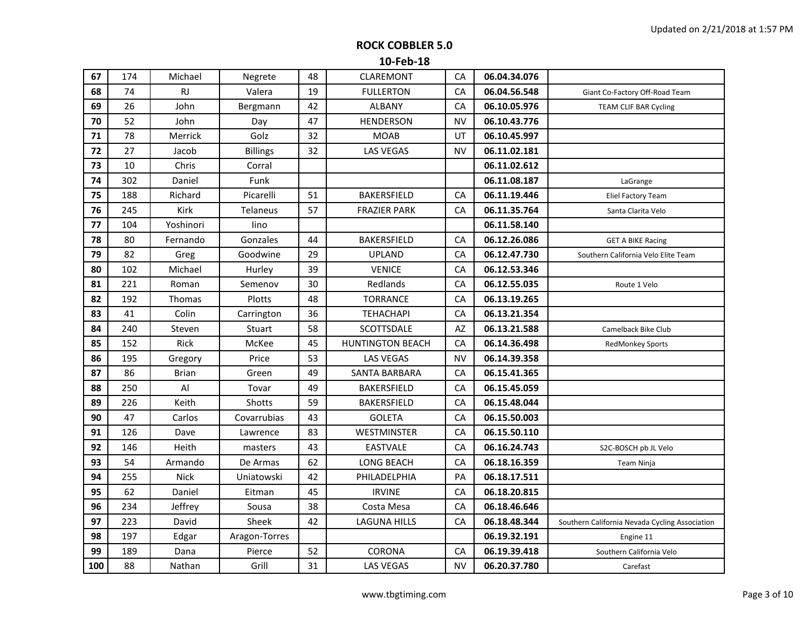**10-Feb-18**

| 67  | 174 | Michael      | Negrete         | 48 | <b>CLAREMONT</b>        | CA        | 06.04.34.076 |                                                |
|-----|-----|--------------|-----------------|----|-------------------------|-----------|--------------|------------------------------------------------|
| 68  | 74  | <b>RJ</b>    | Valera          | 19 | <b>FULLERTON</b>        | CA        | 06.04.56.548 | Giant Co-Factory Off-Road Team                 |
| 69  | 26  | John         | Bergmann        | 42 | <b>ALBANY</b>           | CA        | 06.10.05.976 | TEAM CLIF BAR Cycling                          |
| 70  | 52  | John         | Day             | 47 | <b>HENDERSON</b>        | <b>NV</b> | 06.10.43.776 |                                                |
| 71  | 78  | Merrick      | Golz            | 32 | <b>MOAB</b>             | UT        | 06.10.45.997 |                                                |
| 72  | 27  | Jacob        | <b>Billings</b> | 32 | <b>LAS VEGAS</b>        | <b>NV</b> | 06.11.02.181 |                                                |
| 73  | 10  | Chris        | Corral          |    |                         |           | 06.11.02.612 |                                                |
| 74  | 302 | Daniel       | Funk            |    |                         |           | 06.11.08.187 | LaGrange                                       |
| 75  | 188 | Richard      | Picarelli       | 51 | <b>BAKERSFIELD</b>      | <b>CA</b> | 06.11.19.446 | Eliel Factory Team                             |
| 76  | 245 | Kirk         | Telaneus        | 57 | <b>FRAZIER PARK</b>     | CA        | 06.11.35.764 | Santa Clarita Velo                             |
| 77  | 104 | Yoshinori    | lino            |    |                         |           | 06.11.58.140 |                                                |
| 78  | 80  | Fernando     | Gonzales        | 44 | BAKERSFIELD             | CA        | 06.12.26.086 | <b>GET A BIKE Racing</b>                       |
| 79  | 82  | Greg         | Goodwine        | 29 | <b>UPLAND</b>           | CA        | 06.12.47.730 | Southern California Velo Elite Team            |
| 80  | 102 | Michael      | Hurley          | 39 | <b>VENICE</b>           | CA        | 06.12.53.346 |                                                |
| 81  | 221 | Roman        | Semenov         | 30 | Redlands                | CA        | 06.12.55.035 | Route 1 Velo                                   |
| 82  | 192 | Thomas       | Plotts          | 48 | <b>TORRANCE</b>         | CA        | 06.13.19.265 |                                                |
| 83  | 41  | Colin        | Carrington      | 36 | <b>TEHACHAPI</b>        | CA        | 06.13.21.354 |                                                |
| 84  | 240 | Steven       | Stuart          | 58 | SCOTTSDALE              | AZ        | 06.13.21.588 | Camelback Bike Club                            |
| 85  | 152 | <b>Rick</b>  | McKee           | 45 | <b>HUNTINGTON BEACH</b> | CA        | 06.14.36.498 | <b>RedMonkey Sports</b>                        |
| 86  | 195 | Gregory      | Price           | 53 | <b>LAS VEGAS</b>        | <b>NV</b> | 06.14.39.358 |                                                |
| 87  | 86  | <b>Brian</b> | Green           | 49 | SANTA BARBARA           | CA        | 06.15.41.365 |                                                |
| 88  | 250 | Al           | Tovar           | 49 | BAKERSFIELD             | CA        | 06.15.45.059 |                                                |
| 89  | 226 | Keith        | Shotts          | 59 | <b>BAKERSFIELD</b>      | CA        | 06.15.48.044 |                                                |
| 90  | 47  | Carlos       | Covarrubias     | 43 | <b>GOLETA</b>           | CA        | 06.15.50.003 |                                                |
| 91  | 126 | Dave         | Lawrence        | 83 | WESTMINSTER             | CA        | 06.15.50.110 |                                                |
| 92  | 146 | Heith        | masters         | 43 | EASTVALE                | CA        | 06.16.24.743 | S2C-BOSCH pb JL Velo                           |
| 93  | 54  | Armando      | De Armas        | 62 | LONG BEACH              | CA        | 06.18.16.359 | Team Ninja                                     |
| 94  | 255 | <b>Nick</b>  | Uniatowski      | 42 | PHILADELPHIA            | PA        | 06.18.17.511 |                                                |
| 95  | 62  | Daniel       | Eitman          | 45 | <b>IRVINE</b>           | CA        | 06.18.20.815 |                                                |
| 96  | 234 | Jeffrey      | Sousa           | 38 | Costa Mesa              | CA        | 06.18.46.646 |                                                |
| 97  | 223 | David        | Sheek           | 42 | <b>LAGUNA HILLS</b>     | CA        | 06.18.48.344 | Southern California Nevada Cycling Association |
| 98  | 197 | Edgar        | Aragon-Torres   |    |                         |           | 06.19.32.191 | Engine 11                                      |
| 99  | 189 | Dana         | Pierce          | 52 | CORONA                  | CA        | 06.19.39.418 | Southern California Velo                       |
| 100 | 88  | Nathan       | Grill           | 31 | <b>LAS VEGAS</b>        | <b>NV</b> | 06.20.37.780 | Carefast                                       |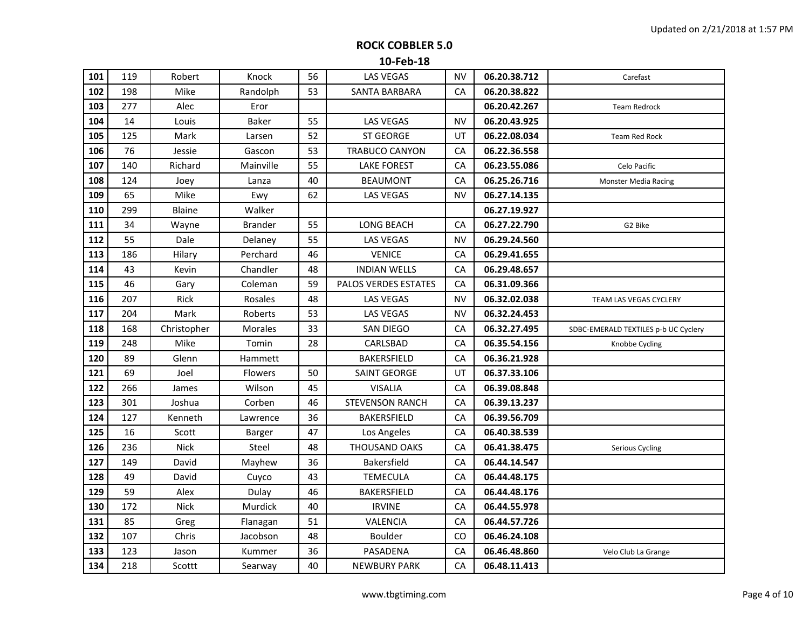**10-Feb-18**

| 101 | 119 | Robert      | Knock          | 56 | <b>LAS VEGAS</b>       | <b>NV</b> | 06.20.38.712 | Carefast                             |
|-----|-----|-------------|----------------|----|------------------------|-----------|--------------|--------------------------------------|
| 102 | 198 | Mike        | Randolph       | 53 | SANTA BARBARA          | CA        | 06.20.38.822 |                                      |
| 103 | 277 | Alec        | Eror           |    |                        |           | 06.20.42.267 | <b>Team Redrock</b>                  |
| 104 | 14  | Louis       | <b>Baker</b>   | 55 | <b>LAS VEGAS</b>       | <b>NV</b> | 06.20.43.925 |                                      |
| 105 | 125 | Mark        | Larsen         | 52 | <b>ST GEORGE</b>       | UT        | 06.22.08.034 | <b>Team Red Rock</b>                 |
| 106 | 76  | Jessie      | Gascon         | 53 | <b>TRABUCO CANYON</b>  | CA        | 06.22.36.558 |                                      |
| 107 | 140 | Richard     | Mainville      | 55 | <b>LAKE FOREST</b>     | CA        | 06.23.55.086 | Celo Pacific                         |
| 108 | 124 | Joey        | Lanza          | 40 | <b>BEAUMONT</b>        | CA        | 06.25.26.716 | <b>Monster Media Racing</b>          |
| 109 | 65  | Mike        | Ewy            | 62 | LAS VEGAS              | <b>NV</b> | 06.27.14.135 |                                      |
| 110 | 299 | Blaine      | Walker         |    |                        |           | 06.27.19.927 |                                      |
| 111 | 34  | Wayne       | <b>Brander</b> | 55 | LONG BEACH             | CA        | 06.27.22.790 | G2 Bike                              |
| 112 | 55  | Dale        | Delaney        | 55 | <b>LAS VEGAS</b>       | <b>NV</b> | 06.29.24.560 |                                      |
| 113 | 186 | Hilary      | Perchard       | 46 | <b>VENICE</b>          | CA        | 06.29.41.655 |                                      |
| 114 | 43  | Kevin       | Chandler       | 48 | <b>INDIAN WELLS</b>    | CA        | 06.29.48.657 |                                      |
| 115 | 46  | Gary        | Coleman        | 59 | PALOS VERDES ESTATES   | CA        | 06.31.09.366 |                                      |
| 116 | 207 | Rick        | Rosales        | 48 | <b>LAS VEGAS</b>       | <b>NV</b> | 06.32.02.038 | TEAM LAS VEGAS CYCLERY               |
| 117 | 204 | Mark        | Roberts        | 53 | LAS VEGAS              | NV        | 06.32.24.453 |                                      |
| 118 | 168 | Christopher | <b>Morales</b> | 33 | SAN DIEGO              | CA        | 06.32.27.495 | SDBC-EMERALD TEXTILES p-b UC Cyclery |
| 119 | 248 | Mike        | Tomin          | 28 | CARLSBAD               | CA        | 06.35.54.156 | Knobbe Cycling                       |
| 120 | 89  | Glenn       | Hammett        |    | BAKERSFIELD            | CA        | 06.36.21.928 |                                      |
| 121 | 69  | Joel        | Flowers        | 50 | <b>SAINT GEORGE</b>    | UT        | 06.37.33.106 |                                      |
| 122 | 266 | James       | Wilson         | 45 | <b>VISALIA</b>         | CA        | 06.39.08.848 |                                      |
| 123 | 301 | Joshua      | Corben         | 46 | <b>STEVENSON RANCH</b> | CA        | 06.39.13.237 |                                      |
| 124 | 127 | Kenneth     | Lawrence       | 36 | <b>BAKERSFIELD</b>     | CA        | 06.39.56.709 |                                      |
| 125 | 16  | Scott       | Barger         | 47 | Los Angeles            | CA        | 06.40.38.539 |                                      |
| 126 | 236 | <b>Nick</b> | Steel          | 48 | THOUSAND OAKS          | CA        | 06.41.38.475 | <b>Serious Cycling</b>               |
| 127 | 149 | David       | Mayhew         | 36 | Bakersfield            | CA        | 06.44.14.547 |                                      |
| 128 | 49  | David       | Cuyco          | 43 | <b>TEMECULA</b>        | CA        | 06.44.48.175 |                                      |
| 129 | 59  | Alex        | Dulay          | 46 | <b>BAKERSFIELD</b>     | CA        | 06.44.48.176 |                                      |
| 130 | 172 | <b>Nick</b> | Murdick        | 40 | <b>IRVINE</b>          | CA        | 06.44.55.978 |                                      |
| 131 | 85  | Greg        | Flanagan       | 51 | VALENCIA               | CA        | 06.44.57.726 |                                      |
| 132 | 107 | Chris       | Jacobson       | 48 | <b>Boulder</b>         | CO.       | 06.46.24.108 |                                      |
| 133 | 123 | Jason       | Kummer         | 36 | PASADENA               | CA        | 06.46.48.860 | Velo Club La Grange                  |
| 134 | 218 | Scottt      | Searway        | 40 | <b>NEWBURY PARK</b>    | СA        | 06.48.11.413 |                                      |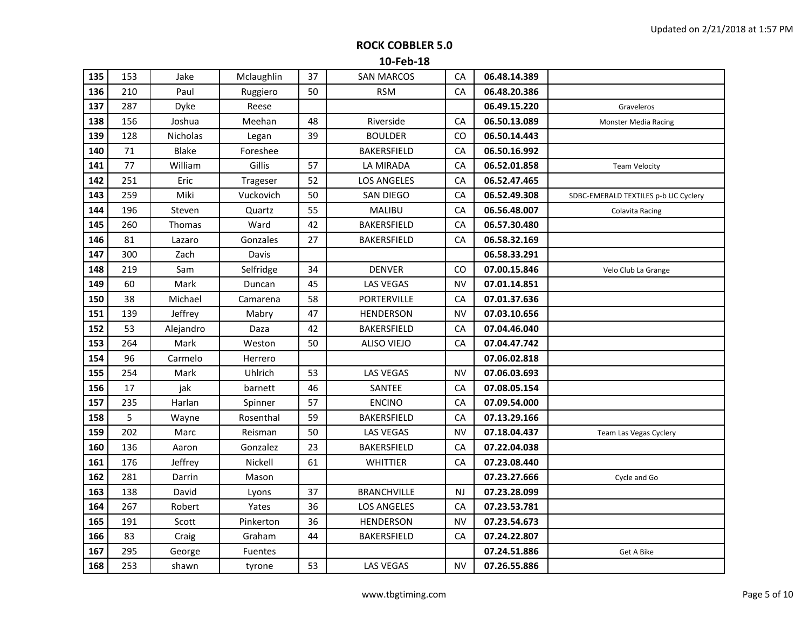| 10-Feb-18 |  |
|-----------|--|
|-----------|--|

| 135 | 153 | Jake            | Mclaughlin     | 37 | <b>SAN MARCOS</b>  | СA        | 06.48.14.389 |                                      |
|-----|-----|-----------------|----------------|----|--------------------|-----------|--------------|--------------------------------------|
| 136 | 210 | Paul            | Ruggiero       | 50 | <b>RSM</b>         | <b>CA</b> | 06.48.20.386 |                                      |
| 137 | 287 | Dyke            | Reese          |    |                    |           | 06.49.15.220 | Graveleros                           |
| 138 | 156 | Joshua          | Meehan         | 48 | Riverside          | CA        | 06.50.13.089 | <b>Monster Media Racing</b>          |
| 139 | 128 | <b>Nicholas</b> | Legan          | 39 | <b>BOULDER</b>     | CO        | 06.50.14.443 |                                      |
| 140 | 71  | <b>Blake</b>    | Foreshee       |    | BAKERSFIELD        | CA        | 06.50.16.992 |                                      |
| 141 | 77  | William         | Gillis         | 57 | LA MIRADA          | CA        | 06.52.01.858 | <b>Team Velocity</b>                 |
| 142 | 251 | Eric            | Trageser       | 52 | <b>LOS ANGELES</b> | CA        | 06.52.47.465 |                                      |
| 143 | 259 | Miki            | Vuckovich      | 50 | <b>SAN DIEGO</b>   | CA        | 06.52.49.308 | SDBC-EMERALD TEXTILES p-b UC Cyclery |
| 144 | 196 | Steven          | Quartz         | 55 | MALIBU             | CA        | 06.56.48.007 | Colavita Racing                      |
| 145 | 260 | Thomas          | Ward           | 42 | BAKERSFIELD        | СA        | 06.57.30.480 |                                      |
| 146 | 81  | Lazaro          | Gonzales       | 27 | BAKERSFIELD        | CA        | 06.58.32.169 |                                      |
| 147 | 300 | Zach            | Davis          |    |                    |           | 06.58.33.291 |                                      |
| 148 | 219 | Sam             | Selfridge      | 34 | <b>DENVER</b>      | CO        | 07.00.15.846 | Velo Club La Grange                  |
| 149 | 60  | Mark            | Duncan         | 45 | <b>LAS VEGAS</b>   | <b>NV</b> | 07.01.14.851 |                                      |
| 150 | 38  | Michael         | Camarena       | 58 | PORTERVILLE        | СA        | 07.01.37.636 |                                      |
| 151 | 139 | Jeffrey         | Mabry          | 47 | <b>HENDERSON</b>   | <b>NV</b> | 07.03.10.656 |                                      |
| 152 | 53  | Alejandro       | Daza           | 42 | BAKERSFIELD        | CA        | 07.04.46.040 |                                      |
| 153 | 264 | Mark            | Weston         | 50 | <b>ALISO VIEJO</b> | CA        | 07.04.47.742 |                                      |
| 154 | 96  | Carmelo         | Herrero        |    |                    |           | 07.06.02.818 |                                      |
| 155 | 254 | Mark            | Uhlrich        | 53 | <b>LAS VEGAS</b>   | <b>NV</b> | 07.06.03.693 |                                      |
| 156 | 17  | jak             | barnett        | 46 | SANTEE             | CA        | 07.08.05.154 |                                      |
| 157 | 235 | Harlan          | Spinner        | 57 | <b>ENCINO</b>      | CA        | 07.09.54.000 |                                      |
| 158 | 5   | Wayne           | Rosenthal      | 59 | BAKERSFIELD        | CA        | 07.13.29.166 |                                      |
| 159 | 202 | Marc            | Reisman        | 50 | LAS VEGAS          | <b>NV</b> | 07.18.04.437 | Team Las Vegas Cyclery               |
| 160 | 136 | Aaron           | Gonzalez       | 23 | BAKERSFIELD        | CA        | 07.22.04.038 |                                      |
| 161 | 176 | Jeffrey         | Nickell        | 61 | WHITTIER           | CA        | 07.23.08.440 |                                      |
| 162 | 281 | Darrin          | Mason          |    |                    |           | 07.23.27.666 | Cycle and Go                         |
| 163 | 138 | David           | Lyons          | 37 | <b>BRANCHVILLE</b> | NJ        | 07.23.28.099 |                                      |
| 164 | 267 | Robert          | Yates          | 36 | <b>LOS ANGELES</b> | CA        | 07.23.53.781 |                                      |
| 165 | 191 | Scott           | Pinkerton      | 36 | <b>HENDERSON</b>   | <b>NV</b> | 07.23.54.673 |                                      |
| 166 | 83  | Craig           | Graham         | 44 | BAKERSFIELD        | СA        | 07.24.22.807 |                                      |
| 167 | 295 | George          | <b>Fuentes</b> |    |                    |           | 07.24.51.886 | Get A Bike                           |
| 168 | 253 | shawn           | tyrone         | 53 | LAS VEGAS          | <b>NV</b> | 07.26.55.886 |                                      |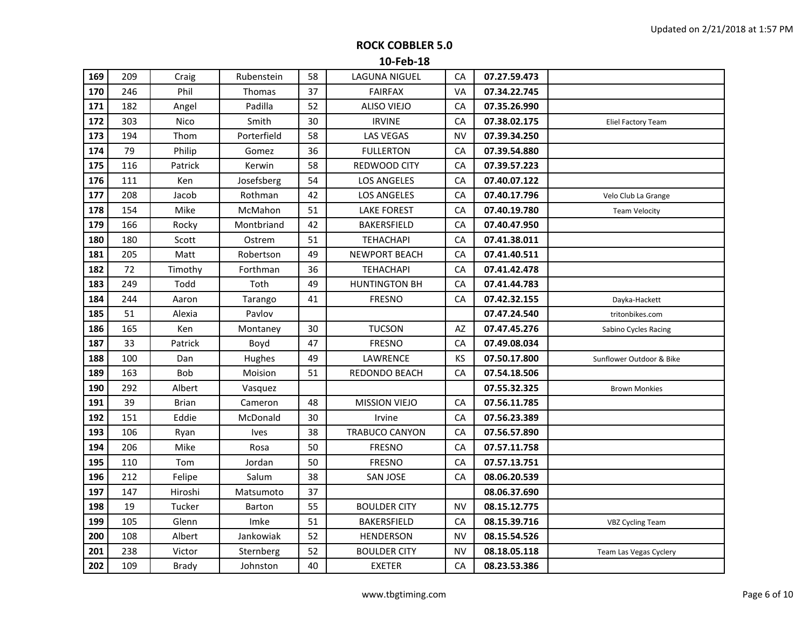**10-Feb-18**

| 169 | 209 | Craig        | Rubenstein    | 58 | LAGUNA NIGUEL         | СA        | 07.27.59.473 |                          |
|-----|-----|--------------|---------------|----|-----------------------|-----------|--------------|--------------------------|
| 170 | 246 | Phil         | Thomas        | 37 | <b>FAIRFAX</b>        | VA        | 07.34.22.745 |                          |
| 171 | 182 | Angel        | Padilla       | 52 | <b>ALISO VIEJO</b>    | CA        | 07.35.26.990 |                          |
| 172 | 303 | Nico         | Smith         | 30 | <b>IRVINE</b>         | CA        | 07.38.02.175 | Eliel Factory Team       |
| 173 | 194 | Thom         | Porterfield   | 58 | <b>LAS VEGAS</b>      | <b>NV</b> | 07.39.34.250 |                          |
| 174 | 79  | Philip       | Gomez         | 36 | <b>FULLERTON</b>      | CA        | 07.39.54.880 |                          |
| 175 | 116 | Patrick      | Kerwin        | 58 | REDWOOD CITY          | CA        | 07.39.57.223 |                          |
| 176 | 111 | Ken          | Josefsberg    | 54 | LOS ANGELES           | CA        | 07.40.07.122 |                          |
| 177 | 208 | Jacob        | Rothman       | 42 | <b>LOS ANGELES</b>    | CA        | 07.40.17.796 | Velo Club La Grange      |
| 178 | 154 | Mike         | McMahon       | 51 | <b>LAKE FOREST</b>    | CA        | 07.40.19.780 | <b>Team Velocity</b>     |
| 179 | 166 | Rocky        | Montbriand    | 42 | BAKERSFIELD           | CA        | 07.40.47.950 |                          |
| 180 | 180 | Scott        | Ostrem        | 51 | <b>TEHACHAPI</b>      | CA        | 07.41.38.011 |                          |
| 181 | 205 | Matt         | Robertson     | 49 | <b>NEWPORT BEACH</b>  | CA        | 07.41.40.511 |                          |
| 182 | 72  | Timothy      | Forthman      | 36 | TEHACHAPI             | CA        | 07.41.42.478 |                          |
| 183 | 249 | Todd         | Toth          | 49 | <b>HUNTINGTON BH</b>  | CA        | 07.41.44.783 |                          |
| 184 | 244 | Aaron        | Tarango       | 41 | <b>FRESNO</b>         | CA        | 07.42.32.155 | Dayka-Hackett            |
| 185 | 51  | Alexia       | Pavlov        |    |                       |           | 07.47.24.540 | tritonbikes.com          |
| 186 | 165 | Ken          | Montaney      | 30 | <b>TUCSON</b>         | AZ        | 07.47.45.276 | Sabino Cycles Racing     |
| 187 | 33  | Patrick      | Boyd          | 47 | <b>FRESNO</b>         | CA        | 07.49.08.034 |                          |
| 188 | 100 | Dan          | Hughes        | 49 | LAWRENCE              | KS        | 07.50.17.800 | Sunflower Outdoor & Bike |
| 189 | 163 | Bob          | Moision       | 51 | REDONDO BEACH         | CA        | 07.54.18.506 |                          |
| 190 | 292 | Albert       | Vasquez       |    |                       |           | 07.55.32.325 | <b>Brown Monkies</b>     |
| 191 | 39  | <b>Brian</b> | Cameron       | 48 | <b>MISSION VIEJO</b>  | CA        | 07.56.11.785 |                          |
| 192 | 151 | Eddie        | McDonald      | 30 | Irvine                | CA        | 07.56.23.389 |                          |
| 193 | 106 | Ryan         | <b>Ives</b>   | 38 | <b>TRABUCO CANYON</b> | CA        | 07.56.57.890 |                          |
| 194 | 206 | Mike         | Rosa          | 50 | <b>FRESNO</b>         | CA        | 07.57.11.758 |                          |
| 195 | 110 | Tom          | Jordan        | 50 | <b>FRESNO</b>         | CA        | 07.57.13.751 |                          |
| 196 | 212 | Felipe       | Salum         | 38 | <b>SAN JOSE</b>       | CA        | 08.06.20.539 |                          |
| 197 | 147 | Hiroshi      | Matsumoto     | 37 |                       |           | 08.06.37.690 |                          |
| 198 | 19  | Tucker       | <b>Barton</b> | 55 | <b>BOULDER CITY</b>   | <b>NV</b> | 08.15.12.775 |                          |
| 199 | 105 | Glenn        | Imke          | 51 | BAKERSFIELD           | CA        | 08.15.39.716 | <b>VBZ Cycling Team</b>  |
| 200 | 108 | Albert       | Jankowiak     | 52 | <b>HENDERSON</b>      | <b>NV</b> | 08.15.54.526 |                          |
| 201 | 238 | Victor       | Sternberg     | 52 | <b>BOULDER CITY</b>   | <b>NV</b> | 08.18.05.118 | Team Las Vegas Cyclery   |
| 202 | 109 | <b>Brady</b> | Johnston      | 40 | <b>EXETER</b>         | CA        | 08.23.53.386 |                          |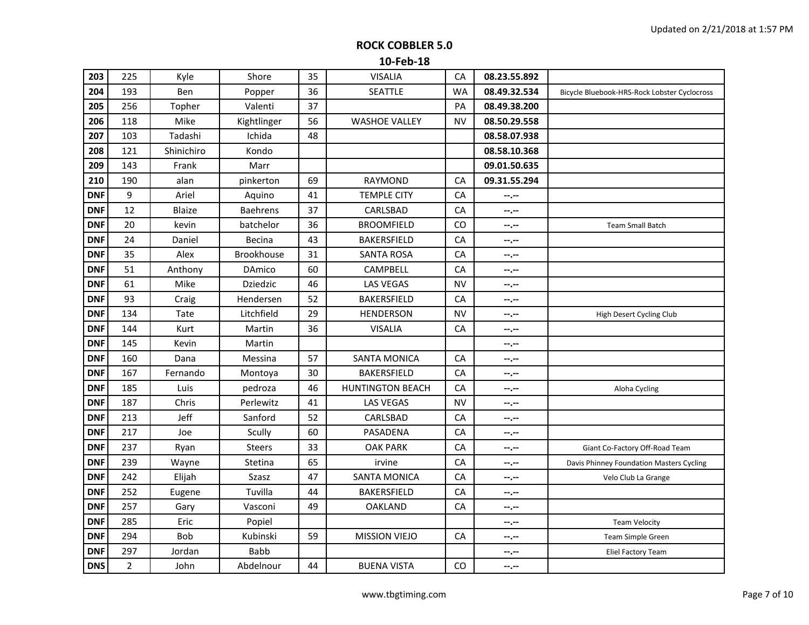| 203        | 225            | Kyle          | Shore           | 35 | <b>VISALIA</b>          | CA        | 08.23.55.892     |                                              |
|------------|----------------|---------------|-----------------|----|-------------------------|-----------|------------------|----------------------------------------------|
| 204        | 193            | Ben           | Popper          | 36 | <b>SEATTLE</b>          | <b>WA</b> | 08.49.32.534     | Bicycle Bluebook-HRS-Rock Lobster Cyclocross |
| 205        | 256            | Topher        | Valenti         | 37 |                         | PA        | 08.49.38.200     |                                              |
| 206        | 118            | Mike          | Kightlinger     | 56 | <b>WASHOE VALLEY</b>    | <b>NV</b> | 08.50.29.558     |                                              |
| 207        | 103            | Tadashi       | Ichida          | 48 |                         |           | 08.58.07.938     |                                              |
| 208        | 121            | Shinichiro    | Kondo           |    |                         |           | 08.58.10.368     |                                              |
| 209        | 143            | Frank         | Marr            |    |                         |           | 09.01.50.635     |                                              |
| 210        | 190            | alan          | pinkerton       | 69 | <b>RAYMOND</b>          | CA        | 09.31.55.294     |                                              |
| <b>DNF</b> | 9              | Ariel         | Aquino          | 41 | <b>TEMPLE CITY</b>      | CA        | --.--            |                                              |
| <b>DNF</b> | 12             | <b>Blaize</b> | <b>Baehrens</b> | 37 | CARLSBAD                | CA        | --.--            |                                              |
| <b>DNF</b> | 20             | kevin         | batchelor       | 36 | <b>BROOMFIELD</b>       | CO        | --.--            | <b>Team Small Batch</b>                      |
| <b>DNF</b> | 24             | Daniel        | Becina          | 43 | BAKERSFIELD             | CA        | $-2 - 1$         |                                              |
| <b>DNF</b> | 35             | Alex          | Brookhouse      | 31 | <b>SANTA ROSA</b>       | CA        | --.--            |                                              |
| <b>DNF</b> | 51             | Anthony       | DAmico          | 60 | CAMPBELL                | CA        | --.--            |                                              |
| <b>DNF</b> | 61             | Mike          | Dziedzic        | 46 | <b>LAS VEGAS</b>        | <b>NV</b> | --.--            |                                              |
| <b>DNF</b> | 93             | Craig         | Hendersen       | 52 | BAKERSFIELD             | CA        | --.--            |                                              |
| <b>DNF</b> | 134            | Tate          | Litchfield      | 29 | <b>HENDERSON</b>        | <b>NV</b> | $-2 - 1 - 1 = 0$ | High Desert Cycling Club                     |
| <b>DNF</b> | 144            | Kurt          | Martin          | 36 | <b>VISALIA</b>          | CA        | --.--            |                                              |
| <b>DNF</b> | 145            | Kevin         | Martin          |    |                         |           | --.--            |                                              |
| <b>DNF</b> | 160            | Dana          | Messina         | 57 | <b>SANTA MONICA</b>     | CA        | --.--            |                                              |
| <b>DNF</b> | 167            | Fernando      | Montoya         | 30 | <b>BAKERSFIELD</b>      | CA        | --.--            |                                              |
| <b>DNF</b> | 185            | Luis          | pedroza         | 46 | <b>HUNTINGTON BEACH</b> | CA        | --.--            | Aloha Cycling                                |
| <b>DNF</b> | 187            | Chris         | Perlewitz       | 41 | <b>LAS VEGAS</b>        | <b>NV</b> | --.--            |                                              |
| <b>DNF</b> | 213            | Jeff          | Sanford         | 52 | CARLSBAD                | CA        | --.--            |                                              |
| <b>DNF</b> | 217            | Joe           | Scully          | 60 | PASADENA                | CA        | --.--            |                                              |
| <b>DNF</b> | 237            | Ryan          | <b>Steers</b>   | 33 | <b>OAK PARK</b>         | CA        | --.--            | Giant Co-Factory Off-Road Team               |
| <b>DNF</b> | 239            | Wayne         | Stetina         | 65 | irvine                  | CA        | --.--            | Davis Phinney Foundation Masters Cycling     |
| <b>DNF</b> | 242            | Elijah        | Szasz           | 47 | <b>SANTA MONICA</b>     | CA        | $-2 - 2 - 1 = 0$ | Velo Club La Grange                          |
| <b>DNF</b> | 252            | Eugene        | Tuvilla         | 44 | BAKERSFIELD             | CA        | --.--            |                                              |
| <b>DNF</b> | 257            | Gary          | Vasconi         | 49 | <b>OAKLAND</b>          | CA        | --.--            |                                              |
| <b>DNF</b> | 285            | Eric          | Popiel          |    |                         |           | --.--            | <b>Team Velocity</b>                         |
| <b>DNF</b> | 294            | Bob           | Kubinski        | 59 | <b>MISSION VIEJO</b>    | CA        | --.--            | Team Simple Green                            |
| <b>DNF</b> | 297            | Jordan        | <b>Babb</b>     |    |                         |           | $-2 - 1$         | <b>Eliel Factory Team</b>                    |
| <b>DNS</b> | $\overline{2}$ | John          | Abdelnour       | 44 | <b>BUENA VISTA</b>      | CO        | --.--            |                                              |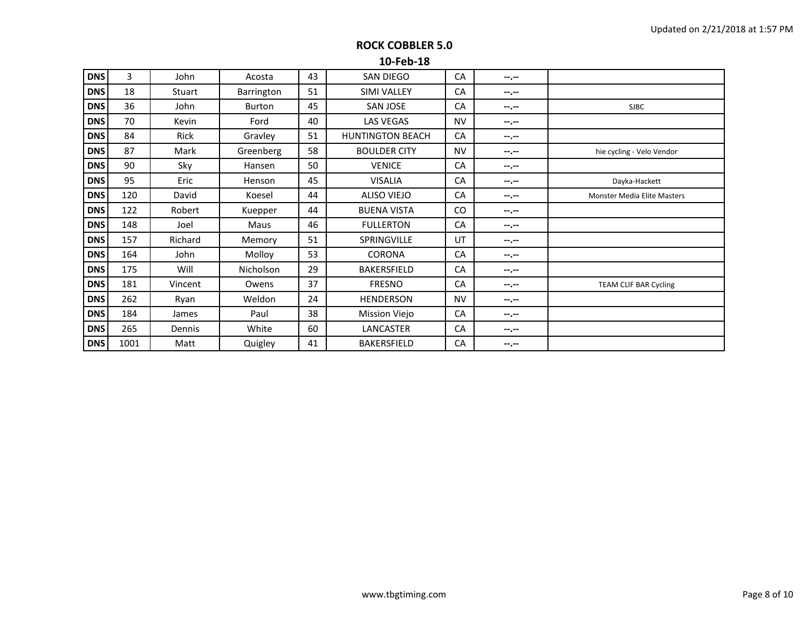| <b>DNS</b> | 3    | John    | Acosta        | 43 | SAN DIEGO               | CA            | --.--            |                                    |
|------------|------|---------|---------------|----|-------------------------|---------------|------------------|------------------------------------|
| <b>DNS</b> | 18   | Stuart  | Barrington    | 51 | <b>SIMI VALLEY</b>      | CA            | --.--            |                                    |
| <b>DNS</b> | 36   | John    | <b>Burton</b> | 45 | <b>SAN JOSE</b>         | CA            | --.--            | <b>SJBC</b>                        |
| <b>DNS</b> | 70   | Kevin   | Ford          | 40 | <b>LAS VEGAS</b>        | <b>NV</b>     | --.--            |                                    |
| <b>DNS</b> | 84   | Rick    | Gravley       | 51 | <b>HUNTINGTON BEACH</b> | CA            | --.--            |                                    |
| <b>DNS</b> | 87   | Mark    | Greenberg     | 58 | <b>BOULDER CITY</b>     | <b>NV</b>     | --.--            | hie cycling - Velo Vendor          |
| <b>DNS</b> | 90   | Sky     | Hansen        | 50 | <b>VENICE</b>           | CA            | $- - - - -$      |                                    |
| <b>DNS</b> | 95   | Eric    | Henson        | 45 | <b>VISALIA</b>          | CA            | --.--            | Dayka-Hackett                      |
| <b>DNS</b> | 120  | David   | Koesel        | 44 | ALISO VIEJO             | CA            | $- - - - -$      | <b>Monster Media Elite Masters</b> |
| <b>DNS</b> | 122  | Robert  | Kuepper       | 44 | <b>BUENA VISTA</b>      | <sub>CO</sub> | $- - - - -$      |                                    |
| <b>DNS</b> | 148  | Joel    | Maus          | 46 | <b>FULLERTON</b>        | CA            | $- - - - -$      |                                    |
| <b>DNS</b> | 157  | Richard | Memory        | 51 | SPRINGVILLE             | UT            | $-2.00$          |                                    |
| <b>DNS</b> | 164  | John    | Molloy        | 53 | CORONA                  | CA            | $-1 - 1 - 1 = 0$ |                                    |
| <b>DNS</b> | 175  | Will    | Nicholson     | 29 | BAKERSFIELD             | CA            | $- - - - -$      |                                    |
| <b>DNS</b> | 181  | Vincent | Owens         | 37 | <b>FRESNO</b>           | CA            | --.--            | <b>TEAM CLIF BAR Cycling</b>       |
| <b>DNS</b> | 262  | Ryan    | Weldon        | 24 | <b>HENDERSON</b>        | <b>NV</b>     | $- - - - -$      |                                    |
| <b>DNS</b> | 184  | James   | Paul          | 38 | Mission Viejo           | CA            | --.--            |                                    |
| <b>DNS</b> | 265  | Dennis  | White         | 60 | LANCASTER               | CA            | $-1 - 1 - 1 = 0$ |                                    |
| <b>DNS</b> | 1001 | Matt    | Quigley       | 41 | BAKERSFIELD             | CA            | $- - - - -$      |                                    |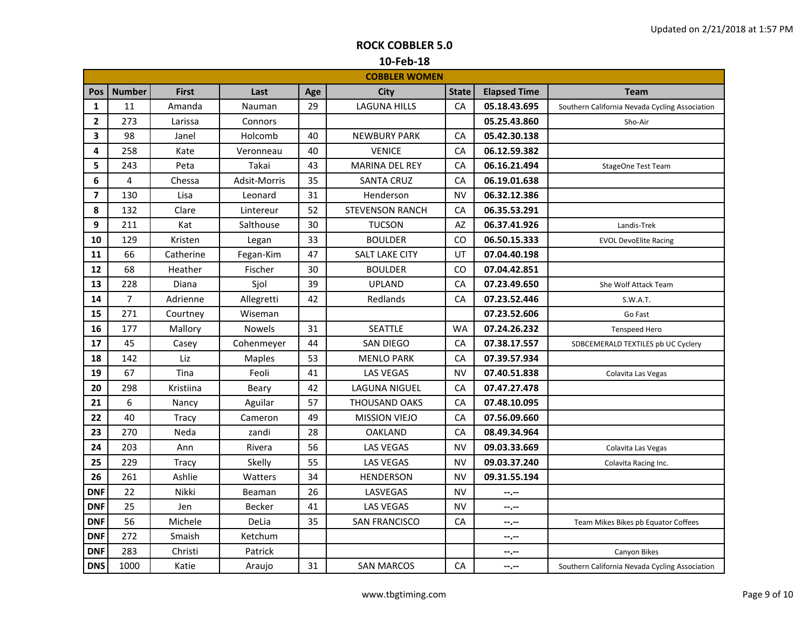|                         |                |              |               |     | <b>COBBLER WOMEN</b>   |              |                     |                                                |
|-------------------------|----------------|--------------|---------------|-----|------------------------|--------------|---------------------|------------------------------------------------|
| Pos                     | <b>Number</b>  | <b>First</b> | Last          | Age | City                   | <b>State</b> | <b>Elapsed Time</b> | <b>Team</b>                                    |
| 1                       | 11             | Amanda       | Nauman        | 29  | <b>LAGUNA HILLS</b>    | CA           | 05.18.43.695        | Southern California Nevada Cycling Association |
| $\overline{\mathbf{2}}$ | 273            | Larissa      | Connors       |     |                        |              | 05.25.43.860        | Sho-Air                                        |
| 3                       | 98             | Janel        | Holcomb       | 40  | <b>NEWBURY PARK</b>    | CA           | 05.42.30.138        |                                                |
| 4                       | 258            | Kate         | Veronneau     | 40  | <b>VENICE</b>          | CA           | 06.12.59.382        |                                                |
| 5                       | 243            | Peta         | Takai         | 43  | MARINA DEL REY         | CA           | 06.16.21.494        | <b>StageOne Test Team</b>                      |
| 6                       | 4              | Chessa       | Adsit-Morris  | 35  | <b>SANTA CRUZ</b>      | СA           | 06.19.01.638        |                                                |
| $\overline{ }$          | 130            | Lisa         | Leonard       | 31  | Henderson              | NV           | 06.32.12.386        |                                                |
| 8                       | 132            | Clare        | Lintereur     | 52  | <b>STEVENSON RANCH</b> | CA           | 06.35.53.291        |                                                |
| 9                       | 211            | Kat          | Salthouse     | 30  | <b>TUCSON</b>          | AZ           | 06.37.41.926        | Landis-Trek                                    |
| 10                      | 129            | Kristen      | Legan         | 33  | <b>BOULDER</b>         | CO           | 06.50.15.333        | <b>EVOL DevoElite Racing</b>                   |
| 11                      | 66             | Catherine    | Fegan-Kim     | 47  | <b>SALT LAKE CITY</b>  | UT           | 07.04.40.198        |                                                |
| 12                      | 68             | Heather      | Fischer       | 30  | <b>BOULDER</b>         | CO           | 07.04.42.851        |                                                |
| 13                      | 228            | Diana        | Sjol          | 39  | <b>UPLAND</b>          | CA           | 07.23.49.650        | She Wolf Attack Team                           |
| 14                      | $\overline{7}$ | Adrienne     | Allegretti    | 42  | Redlands               | СA           | 07.23.52.446        | S.W.A.T.                                       |
| 15                      | 271            | Courtney     | Wiseman       |     |                        |              | 07.23.52.606        | Go Fast                                        |
| 16                      | 177            | Mallory      | <b>Nowels</b> | 31  | SEATTLE                | <b>WA</b>    | 07.24.26.232        | <b>Tenspeed Hero</b>                           |
| 17                      | 45             | Casey        | Cohenmeyer    | 44  | SAN DIEGO              | СA           | 07.38.17.557        | SDBCEMERALD TEXTILES pb UC Cyclery             |
| 18                      | 142            | Liz          | <b>Maples</b> | 53  | <b>MENLO PARK</b>      | CA           | 07.39.57.934        |                                                |
| 19                      | 67             | Tina         | Feoli         | 41  | <b>LAS VEGAS</b>       | <b>NV</b>    | 07.40.51.838        | Colavita Las Vegas                             |
| 20                      | 298            | Kristiina    | Beary         | 42  | LAGUNA NIGUEL          | CA           | 07.47.27.478        |                                                |
| 21                      | 6              | Nancy        | Aguilar       | 57  | <b>THOUSAND OAKS</b>   | CA           | 07.48.10.095        |                                                |
| 22                      | 40             | Tracy        | Cameron       | 49  | <b>MISSION VIEJO</b>   | CA           | 07.56.09.660        |                                                |
| 23                      | 270            | Neda         | zandi         | 28  | <b>OAKLAND</b>         | CA           | 08.49.34.964        |                                                |
| 24                      | 203            | Ann          | Rivera        | 56  | <b>LAS VEGAS</b>       | <b>NV</b>    | 09.03.33.669        | Colavita Las Vegas                             |
| 25                      | 229            | Tracy        | Skelly        | 55  | <b>LAS VEGAS</b>       | <b>NV</b>    | 09.03.37.240        | Colavita Racing Inc.                           |
| 26                      | 261            | Ashlie       | Watters       | 34  | <b>HENDERSON</b>       | <b>NV</b>    | 09.31.55.194        |                                                |
| <b>DNF</b>              | 22             | Nikki        | Beaman        | 26  | LASVEGAS               | <b>NV</b>    | --.--               |                                                |
| <b>DNF</b>              | 25             | Jen          | <b>Becker</b> | 41  | <b>LAS VEGAS</b>       | <b>NV</b>    | --.--               |                                                |
| <b>DNF</b>              | 56             | Michele      | DeLia         | 35  | <b>SAN FRANCISCO</b>   | CA           | --.--               | Team Mikes Bikes pb Equator Coffees            |
| <b>DNF</b>              | 272            | Smaish       | Ketchum       |     |                        |              | --.--               |                                                |
| <b>DNF</b>              | 283            | Christi      | Patrick       |     |                        |              | --.--               | Canyon Bikes                                   |
| <b>DNS</b>              | 1000           | Katie        | Araujo        | 31  | <b>SAN MARCOS</b>      | CA           | --.--               | Southern California Nevada Cycling Association |